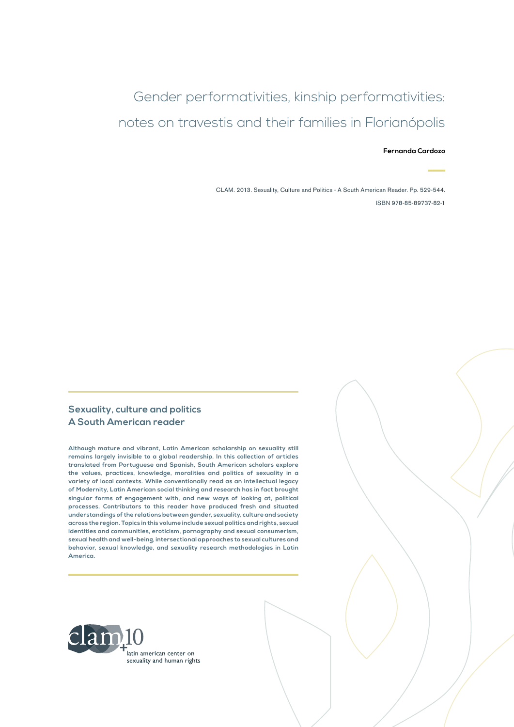## Gender performativities, kinship performativities: notes on travestis and their families in Florianópolis

#### **Fernanda Cardozo**

CLAM. 2013. Sexuality, Culture and Politics - A South American Reader. Pp. 529-544. ISBN 978-85-89737-82-1

#### **Sexuality, culture and politics A South American reader**

**Although mature and vibrant, Latin American scholarship on sexuality still remains largely invisible to a global readership. In this collection of articles translated from Portuguese and Spanish, South American scholars explore the values, practices, knowledge, moralities and politics of sexuality in a variety of local contexts. While conventionally read as an intellectual legacy of Modernity, Latin American social thinking and research has in fact brought singular forms of engagement with, and new ways of looking at, political processes. Contributors to this reader have produced fresh and situated understandings of the relations between gender, sexuality, culture and society across the region. Topics in this volume include sexual politics and rights, sexual identities and communities, eroticism, pornography and sexual consumerism, sexual health and well-being, intersectional approaches to sexual cultures and behavior, sexual knowledge, and sexuality research methodologies in Latin America.**

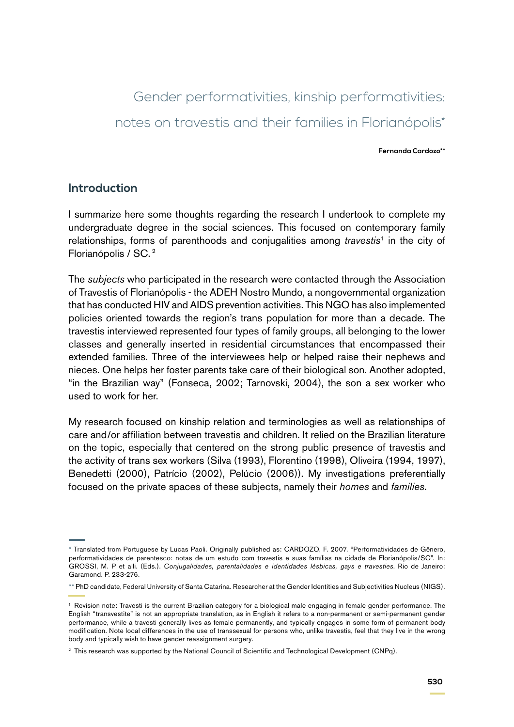# Gender performativities, kinship performativities: notes on travestis and their families in Florianópolis\*

**Fernanda Cardozo\*\***

### **Introduction**

I summarize here some thoughts regarding the research I undertook to complete my undergraduate degree in the social sciences. This focused on contemporary family relationships, forms of parenthoods and conjugalities among *travestis*1 in the city of Florianópolis / SC. 2

The *subjects* who participated in the research were contacted through the Association of Travestis of Florianópolis - the ADEH Nostro Mundo, a nongovernmental organization that has conducted HIV and AIDS prevention activities. This NGO has also implemented policies oriented towards the region's trans population for more than a decade. The travestis interviewed represented four types of family groups, all belonging to the lower classes and generally inserted in residential circumstances that encompassed their extended families. Three of the interviewees help or helped raise their nephews and nieces. One helps her foster parents take care of their biological son. Another adopted, "in the Brazilian way" (Fonseca, 2002; Tarnovski, 2004), the son a sex worker who used to work for her.

My research focused on kinship relation and terminologies as well as relationships of care and/or affiliation between travestis and children. It relied on the Brazilian literature on the topic, especially that centered on the strong public presence of travestis and the activity of trans sex workers (Silva (1993), Florentino (1998), Oliveira (1994, 1997), Benedetti (2000), Patrício (2002), Pelúcio (2006)). My investigations preferentially focused on the private spaces of these subjects, namely their *homes* and *families*.

<sup>\*</sup> Translated from Portuguese by Lucas Paoli. Originally published as: CARDOZO, F. 2007. "Performatividades de Gênero, performatividades de parentesco: notas de um estudo com travestis e suas famílias na cidade de Florianópolis/SC". In: GROSSI, M. P et alli. (Eds.). *Conjugalidades, parentalidades e identidades lésbicas, gays e travesties*. Rio de Janeiro: Garamond. P. 233-276.

<sup>\*\*</sup> PhD candidate, Federal University of Santa Catarina. Researcher at the Gender Identities and Subjectivities Nucleus (NIGS).

<sup>1</sup> Revision note: Travesti is the current Brazilian category for a biological male engaging in female gender performance. The English "transvestite" is not an appropriate translation, as in English it refers to a non-permanent or semi-permanent gender performance, while a travesti generally lives as female permanently, and typically engages in some form of permanent body modification. Note local differences in the use of transsexual for persons who, unlike travestis, feel that they live in the wrong body and typically wish to have gender reassignment surgery.

<sup>&</sup>lt;sup>2</sup> This research was supported by the National Council of Scientific and Technological Development (CNPq).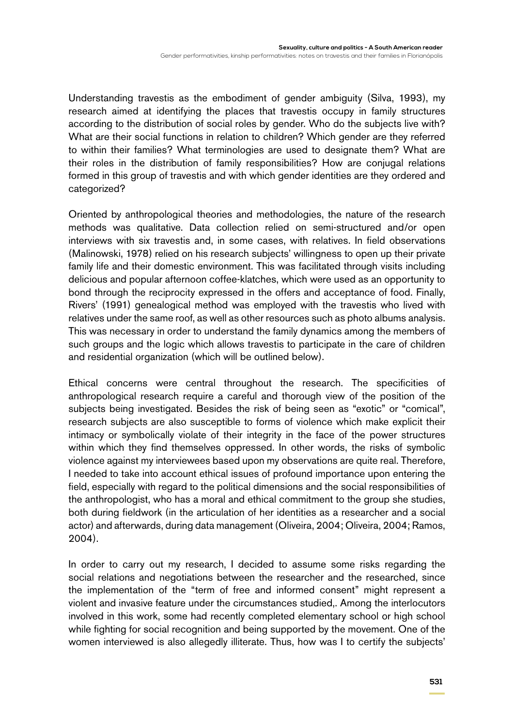Understanding travestis as the embodiment of gender ambiguity (Silva, 1993), my research aimed at identifying the places that travestis occupy in family structures according to the distribution of social roles by gender. Who do the subjects live with? What are their social functions in relation to children? Which gender are they referred to within their families? What terminologies are used to designate them? What are their roles in the distribution of family responsibilities? How are conjugal relations formed in this group of travestis and with which gender identities are they ordered and categorized?

Oriented by anthropological theories and methodologies, the nature of the research methods was qualitative. Data collection relied on semi-structured and/or open interviews with six travestis and, in some cases, with relatives. In field observations (Malinowski, 1978) relied on his research subjects' willingness to open up their private family life and their domestic environment. This was facilitated through visits including delicious and popular afternoon coffee-klatches, which were used as an opportunity to bond through the reciprocity expressed in the offers and acceptance of food. Finally, Rivers' (1991) genealogical method was employed with the travestis who lived with relatives under the same roof, as well as other resources such as photo albums analysis. This was necessary in order to understand the family dynamics among the members of such groups and the logic which allows travestis to participate in the care of children and residential organization (which will be outlined below).

Ethical concerns were central throughout the research. The specificities of anthropological research require a careful and thorough view of the position of the subjects being investigated. Besides the risk of being seen as "exotic" or "comical", research subjects are also susceptible to forms of violence which make explicit their intimacy or symbolically violate of their integrity in the face of the power structures within which they find themselves oppressed. In other words, the risks of symbolic violence against my interviewees based upon my observations are quite real. Therefore, I needed to take into account ethical issues of profound importance upon entering the field, especially with regard to the political dimensions and the social responsibilities of the anthropologist, who has a moral and ethical commitment to the group she studies, both during fieldwork (in the articulation of her identities as a researcher and a social actor) and afterwards, during data management (Oliveira, 2004; Oliveira, 2004; Ramos, 2004).

In order to carry out my research, I decided to assume some risks regarding the social relations and negotiations between the researcher and the researched, since the implementation of the "term of free and informed consent" might represent a violent and invasive feature under the circumstances studied,. Among the interlocutors involved in this work, some had recently completed elementary school or high school while fighting for social recognition and being supported by the movement. One of the women interviewed is also allegedly illiterate. Thus, how was I to certify the subjects'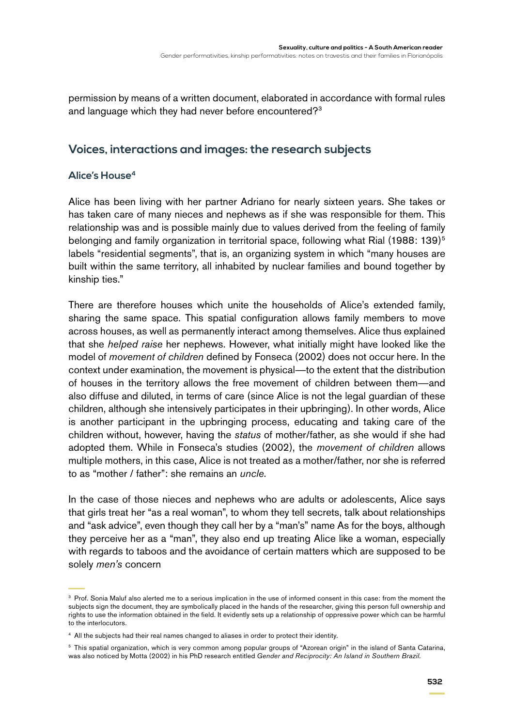permission by means of a written document, elaborated in accordance with formal rules and language which they had never before encountered?<sup>3</sup>

## **Voices, interactions and images: the research subjects**

### **Alice's House4**

Alice has been living with her partner Adriano for nearly sixteen years. She takes or has taken care of many nieces and nephews as if she was responsible for them. This relationship was and is possible mainly due to values derived from the feeling of family belonging and family organization in territorial space, following what Rial (1988: 139)<sup>5</sup> labels "residential segments", that is, an organizing system in which "many houses are built within the same territory, all inhabited by nuclear families and bound together by kinship ties."

There are therefore houses which unite the households of Alice's extended family, sharing the same space. This spatial configuration allows family members to move across houses, as well as permanently interact among themselves. Alice thus explained that she *helped raise* her nephews. However, what initially might have looked like the model of *movement of children* defined by Fonseca (2002) does not occur here. In the context under examination, the movement is physical—to the extent that the distribution of houses in the territory allows the free movement of children between them—and also diffuse and diluted, in terms of care (since Alice is not the legal guardian of these children, although she intensively participates in their upbringing). In other words, Alice is another participant in the upbringing process, educating and taking care of the children without, however, having the *status* of mother/father, as she would if she had adopted them. While in Fonseca's studies (2002), the *movement of children* allows multiple mothers, in this case, Alice is not treated as a mother/father, nor she is referred to as "mother / father": she remains an *uncle*.

In the case of those nieces and nephews who are adults or adolescents, Alice says that girls treat her "as a real woman", to whom they tell secrets, talk about relationships and "ask advice", even though they call her by a "man's" name As for the boys, although they perceive her as a "man", they also end up treating Alice like a woman, especially with regards to taboos and the avoidance of certain matters which are supposed to be solely *men's* concern

<sup>&</sup>lt;sup>3</sup> Prof. Sonia Maluf also alerted me to a serious implication in the use of informed consent in this case: from the moment the subjects sign the document, they are symbolically placed in the hands of the researcher, giving this person full ownership and rights to use the information obtained in the field. It evidently sets up a relationship of oppressive power which can be harmful to the interlocutors.

<sup>4</sup> All the subjects had their real names changed to aliases in order to protect their identity.

<sup>5</sup> This spatial organization, which is very common among popular groups of "Azorean origin" in the island of Santa Catarina, was also noticed by Motta (2002) in his PhD research entitled *Gender and Reciprocity: An Island in Southern Brazil.*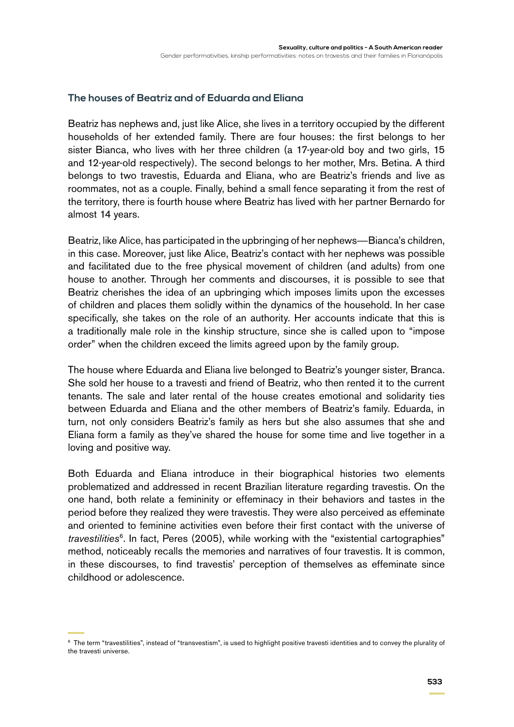#### **The houses of Beatriz and of Eduarda and Eliana**

Beatriz has nephews and, just like Alice, she lives in a territory occupied by the different households of her extended family. There are four houses: the first belongs to her sister Bianca, who lives with her three children (a 17-year-old boy and two girls, 15 and 12-year-old respectively). The second belongs to her mother, Mrs. Betina. A third belongs to two travestis, Eduarda and Eliana, who are Beatriz's friends and live as roommates, not as a couple. Finally, behind a small fence separating it from the rest of the territory, there is fourth house where Beatriz has lived with her partner Bernardo for almost 14 years.

Beatriz, like Alice, has participated in the upbringing of her nephews—Bianca's children, in this case. Moreover, just like Alice, Beatriz's contact with her nephews was possible and facilitated due to the free physical movement of children (and adults) from one house to another. Through her comments and discourses, it is possible to see that Beatriz cherishes the idea of an upbringing which imposes limits upon the excesses of children and places them solidly within the dynamics of the household. In her case specifically, she takes on the role of an authority. Her accounts indicate that this is a traditionally male role in the kinship structure, since she is called upon to "impose order" when the children exceed the limits agreed upon by the family group.

The house where Eduarda and Eliana live belonged to Beatriz's younger sister, Branca. She sold her house to a travesti and friend of Beatriz, who then rented it to the current tenants. The sale and later rental of the house creates emotional and solidarity ties between Eduarda and Eliana and the other members of Beatriz's family. Eduarda, in turn, not only considers Beatriz's family as hers but she also assumes that she and Eliana form a family as they've shared the house for some time and live together in a loving and positive way.

Both Eduarda and Eliana introduce in their biographical histories two elements problematized and addressed in recent Brazilian literature regarding travestis. On the one hand, both relate a femininity or effeminacy in their behaviors and tastes in the period before they realized they were travestis. They were also perceived as effeminate and oriented to feminine activities even before their first contact with the universe of *travestilities*6. In fact, Peres (2005), while working with the "existential cartographies" method, noticeably recalls the memories and narratives of four travestis. It is common, in these discourses, to find travestis' perception of themselves as effeminate since childhood or adolescence.

<sup>6</sup> The term "travestilities", instead of "transvestism", is used to highlight positive travesti identities and to convey the plurality of the travesti universe.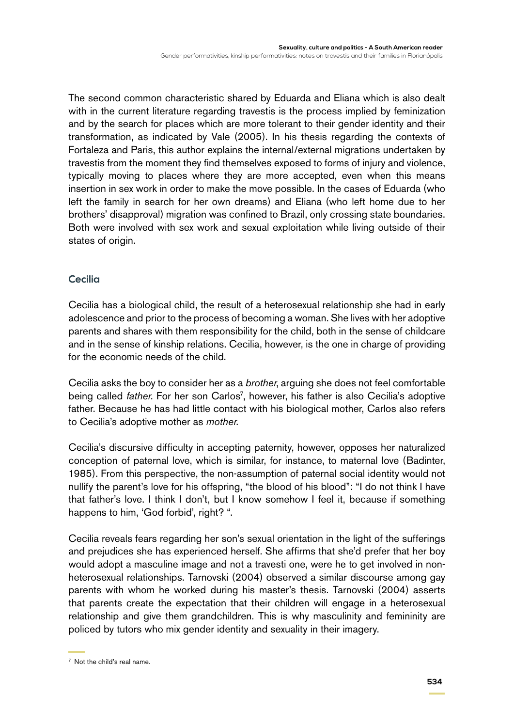The second common characteristic shared by Eduarda and Eliana which is also dealt with in the current literature regarding travestis is the process implied by feminization and by the search for places which are more tolerant to their gender identity and their transformation, as indicated by Vale (2005). In his thesis regarding the contexts of Fortaleza and Paris, this author explains the internal/external migrations undertaken by travestis from the moment they find themselves exposed to forms of injury and violence, typically moving to places where they are more accepted, even when this means insertion in sex work in order to make the move possible. In the cases of Eduarda (who left the family in search for her own dreams) and Eliana (who left home due to her brothers' disapproval) migration was confined to Brazil, only crossing state boundaries. Both were involved with sex work and sexual exploitation while living outside of their states of origin.

### **Cecilia**

Cecilia has a biological child, the result of a heterosexual relationship she had in early adolescence and prior to the process of becoming a woman. She lives with her adoptive parents and shares with them responsibility for the child, both in the sense of childcare and in the sense of kinship relations. Cecilia, however, is the one in charge of providing for the economic needs of the child.

Cecilia asks the boy to consider her as a *brother*, arguing she does not feel comfortable being called *father*. For her son Carlos<sup>7</sup>, however, his father is also Cecilia's adoptive father. Because he has had little contact with his biological mother, Carlos also refers to Cecilia's adoptive mother as *mother*.

Cecilia's discursive difficulty in accepting paternity, however, opposes her naturalized conception of paternal love, which is similar, for instance, to maternal love (Badinter, 1985). From this perspective, the non-assumption of paternal social identity would not nullify the parent's love for his offspring, "the blood of his blood": "I do not think I have that father's love. I think I don't, but I know somehow I feel it, because if something happens to him, 'God forbid', right? ".

Cecilia reveals fears regarding her son's sexual orientation in the light of the sufferings and prejudices she has experienced herself. She affirms that she'd prefer that her boy would adopt a masculine image and not a travesti one, were he to get involved in nonheterosexual relationships. Tarnovski (2004) observed a similar discourse among gay parents with whom he worked during his master's thesis. Tarnovski (2004) asserts that parents create the expectation that their children will engage in a heterosexual relationship and give them grandchildren. This is why masculinity and femininity are policed by tutors who mix gender identity and sexuality in their imagery.

<sup>7</sup> Not the child's real name.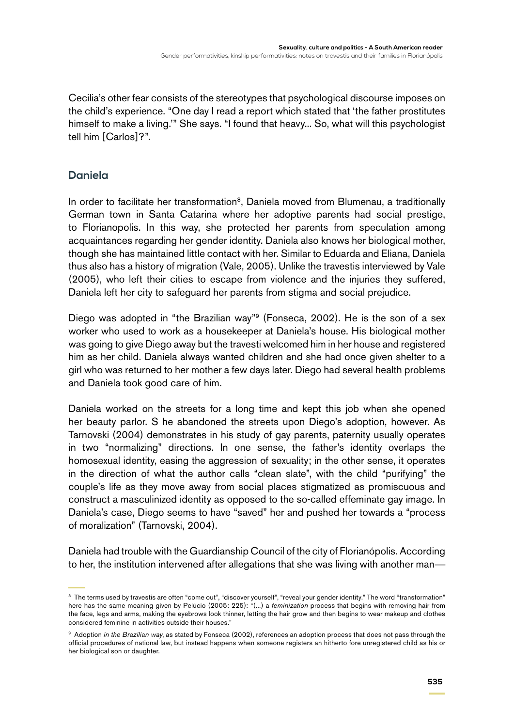Cecilia's other fear consists of the stereotypes that psychological discourse imposes on the child's experience. "One day I read a report which stated that 'the father prostitutes himself to make a living.'" She says. "I found that heavy... So, what will this psychologist tell him [Carlos]?".

## **Daniela**

In order to facilitate her transformation<sup>8</sup>, Daniela moved from Blumenau, a traditionally German town in Santa Catarina where her adoptive parents had social prestige, to Florianopolis. In this way, she protected her parents from speculation among acquaintances regarding her gender identity. Daniela also knows her biological mother, though she has maintained little contact with her. Similar to Eduarda and Eliana, Daniela thus also has a history of migration (Vale, 2005). Unlike the travestis interviewed by Vale (2005), who left their cities to escape from violence and the injuries they suffered, Daniela left her city to safeguard her parents from stigma and social prejudice.

Diego was adopted in "the Brazilian way"<sup>9</sup> (Fonseca, 2002). He is the son of a sex worker who used to work as a housekeeper at Daniela's house. His biological mother was going to give Diego away but the travesti welcomed him in her house and registered him as her child. Daniela always wanted children and she had once given shelter to a girl who was returned to her mother a few days later. Diego had several health problems and Daniela took good care of him.

Daniela worked on the streets for a long time and kept this job when she opened her beauty parlor. S he abandoned the streets upon Diego's adoption, however. As Tarnovski (2004) demonstrates in his study of gay parents, paternity usually operates in two "normalizing" directions. In one sense, the father's identity overlaps the homosexual identity, easing the aggression of sexuality; in the other sense, it operates in the direction of what the author calls "clean slate", with the child "purifying" the couple's life as they move away from social places stigmatized as promiscuous and construct a masculinized identity as opposed to the so-called effeminate gay image. In Daniela's case, Diego seems to have "saved" her and pushed her towards a "process of moralization" (Tarnovski, 2004).

Daniela had trouble with the Guardianship Council of the city of Florianópolis. According to her, the institution intervened after allegations that she was living with another man—

<sup>&</sup>lt;sup>8</sup> The terms used by travestis are often "come out", "discover yourself", "reveal your gender identity." The word "transformation" here has the same meaning given by Pelúcio (2005: 225): "(...) a *feminization* process that begins with removing hair from the face, legs and arms, making the eyebrows look thinner, letting the hair grow and then begins to wear makeup and clothes considered feminine in activities outside their houses."

<sup>&</sup>lt;sup>9</sup> Adoption *in the Brazilian way*, as stated by Fonseca (2002), references an adoption process that does not pass through the official procedures of national law, but instead happens when someone registers an hitherto fore unregistered child as his or her biological son or daughter.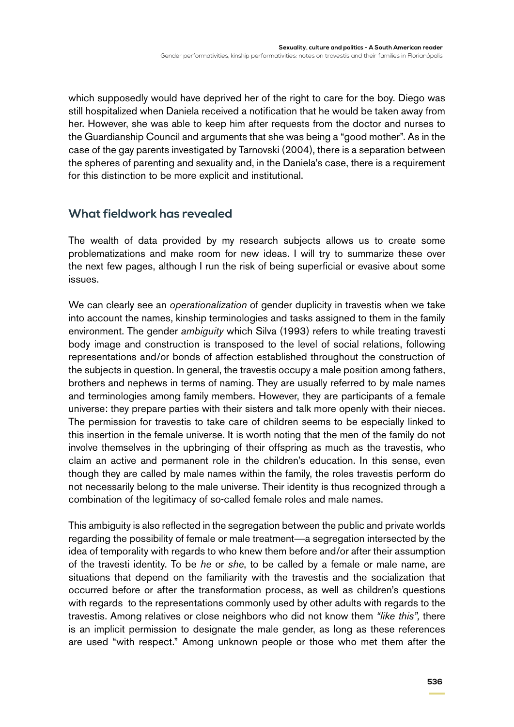which supposedly would have deprived her of the right to care for the boy. Diego was still hospitalized when Daniela received a notification that he would be taken away from her. However, she was able to keep him after requests from the doctor and nurses to the Guardianship Council and arguments that she was being a "good mother". As in the case of the gay parents investigated by Tarnovski (2004), there is a separation between the spheres of parenting and sexuality and, in the Daniela's case, there is a requirement for this distinction to be more explicit and institutional.

## **What fieldwork has revealed**

The wealth of data provided by my research subjects allows us to create some problematizations and make room for new ideas. I will try to summarize these over the next few pages, although I run the risk of being superficial or evasive about some issues.

We can clearly see an *operationalization* of gender duplicity in travestis when we take into account the names, kinship terminologies and tasks assigned to them in the family environment. The gender *ambiguity* which Silva (1993) refers to while treating travesti body image and construction is transposed to the level of social relations, following representations and/or bonds of affection established throughout the construction of the subjects in question. In general, the travestis occupy a male position among fathers, brothers and nephews in terms of naming. They are usually referred to by male names and terminologies among family members. However, they are participants of a female universe: they prepare parties with their sisters and talk more openly with their nieces. The permission for travestis to take care of children seems to be especially linked to this insertion in the female universe. It is worth noting that the men of the family do not involve themselves in the upbringing of their offspring as much as the travestis, who claim an active and permanent role in the children's education. In this sense, even though they are called by male names within the family, the roles travestis perform do not necessarily belong to the male universe. Their identity is thus recognized through a combination of the legitimacy of so-called female roles and male names.

This ambiguity is also reflected in the segregation between the public and private worlds regarding the possibility of female or male treatment—a segregation intersected by the idea of temporality with regards to who knew them before and/or after their assumption of the travesti identity. To be *he* or *she*, to be called by a female or male name, are situations that depend on the familiarity with the travestis and the socialization that occurred before or after the transformation process, as well as children's questions with regards to the representations commonly used by other adults with regards to the travestis. Among relatives or close neighbors who did not know them *"like this",* there is an implicit permission to designate the male gender, as long as these references are used "with respect." Among unknown people or those who met them after the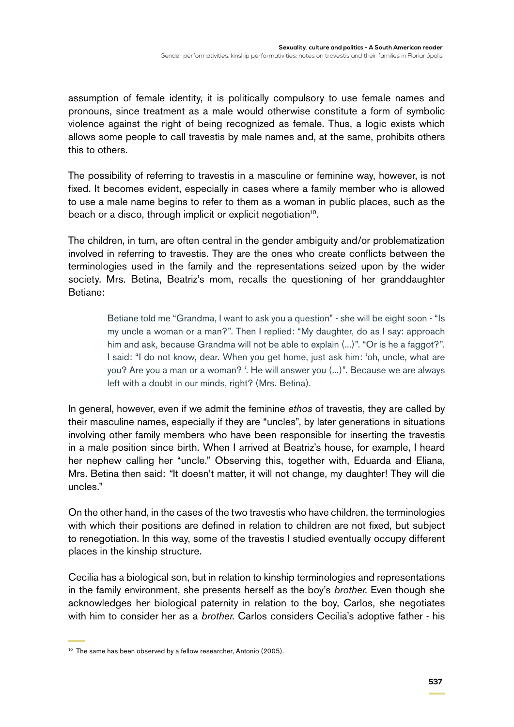assumption of female identity, it is politically compulsory to use female names and pronouns, since treatment as a male would otherwise constitute a form of symbolic violence against the right of being recognized as female. Thus, a logic exists which allows some people to call travestis by male names and, at the same, prohibits others this to others.

The possibility of referring to travestis in a masculine or feminine way, however, is not fixed. It becomes evident, especially in cases where a family member who is allowed to use a male name begins to refer to them as a woman in public places, such as the beach or a disco, through implicit or explicit negotiation<sup>10</sup>.

The children, in turn, are often central in the gender ambiguity and/or problematization involved in referring to travestis. They are the ones who create conflicts between the terminologies used in the family and the representations seized upon by the wider society. Mrs. Betina, Beatriz's mom, recalls the questioning of her granddaughter Betiane:

> Betiane told me "Grandma, I want to ask you a question" - she will be eight soon - "Is my uncle a woman or a man?". Then I replied: "My daughter, do as I say: approach him and ask, because Grandma will not be able to explain (...)". "Or is he a faggot?". I said: "I do not know, dear. When you get home, just ask him: 'oh, uncle, what are you? Are you a man or a woman? '. He will answer you (...)". Because we are always left with a doubt in our minds, right? (Mrs. Betina).

In general, however, even if we admit the feminine *ethos* of travestis, they are called by their masculine names, especially if they are "uncles", by later generations in situations involving other family members who have been responsible for inserting the travestis in a male position since birth. When I arrived at Beatriz's house, for example, I heard her nephew calling her "uncle." Observing this, together with, Eduarda and Eliana, Mrs. Betina then said: *"*It doesn't matter, it will not change, my daughter! They will die uncles."

On the other hand, in the cases of the two travestis who have children, the terminologies with which their positions are defined in relation to children are not fixed, but subject to renegotiation. In this way, some of the travestis I studied eventually occupy different places in the kinship structure.

Cecilia has a biological son, but in relation to kinship terminologies and representations in the family environment, she presents herself as the boy's *brother*. Even though she acknowledges her biological paternity in relation to the boy, Carlos, she negotiates with him to consider her as a *brother*. Carlos considers Cecilia's adoptive father - his

<sup>&</sup>lt;sup>10</sup> The same has been observed by a fellow researcher, Antonio (2005).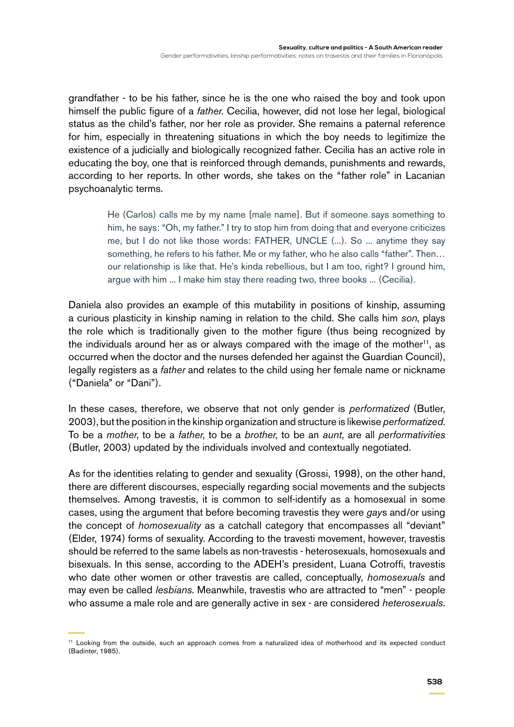grandfather - to be his father, since he is the one who raised the boy and took upon himself the public figure of a *father*. Cecilia, however, did not lose her legal, biological status as the child's father, nor her role as provider. She remains a paternal reference for him, especially in threatening situations in which the boy needs to legitimize the existence of a judicially and biologically recognized father. Cecilia has an active role in educating the boy, one that is reinforced through demands, punishments and rewards, according to her reports. In other words, she takes on the "father role" in Lacanian psychoanalytic terms.

> He (Carlos) calls me by my name [male name]. But if someone says something to him, he says: "Oh, my father." I try to stop him from doing that and everyone criticizes me, but I do not like those words: FATHER, UNCLE (...). So ... anytime they say something, he refers to his father. Me or my father, who he also calls "father". Then… our relationship is like that. He's kinda rebellious, but I am too, right? I ground him, argue with him ... I make him stay there reading two, three books ... (Cecilia).

Daniela also provides an example of this mutability in positions of kinship, assuming a curious plasticity in kinship naming in relation to the child. She calls him *son*, plays the role which is traditionally given to the mother figure (thus being recognized by the individuals around her as or always compared with the image of the mother<sup>11</sup>, as occurred when the doctor and the nurses defended her against the Guardian Council), legally registers as a *father* and relates to the child using her female name or nickname ("Daniela" or "Dani").

In these cases, therefore, we observe that not only gender is *performatized* (Butler, 2003), but the position in the kinship organization and structure is likewise *performatized*. To be a *mother*, to be a *father*, to be a *brother*, to be an *aunt*, are all *performativities* (Butler, 2003) updated by the individuals involved and contextually negotiated.

As for the identities relating to gender and sexuality (Grossi, 1998), on the other hand, there are different discourses, especially regarding social movements and the subjects themselves. Among travestis, it is common to self-identify as a homosexual in some cases, using the argument that before becoming travestis they were *gay*s and/or using the concept of *homosexuality* as a catchall category that encompasses all "deviant" (Elder, 1974) forms of sexuality. According to the travesti movement, however, travestis should be referred to the same labels as non-travestis - heterosexuals, homosexuals and bisexuals. In this sense, according to the ADEH's president, Luana Cotroffi, travestis who date other women or other travestis are called, conceptually, *homosexuals* and may even be called *lesbians*. Meanwhile, travestis who are attracted to "men" - people who assume a male role and are generally active in sex - are considered *heterosexuals*.

<sup>11</sup> Looking from the outside, such an approach comes from a naturalized idea of motherhood and its expected conduct (Badinter, 1985).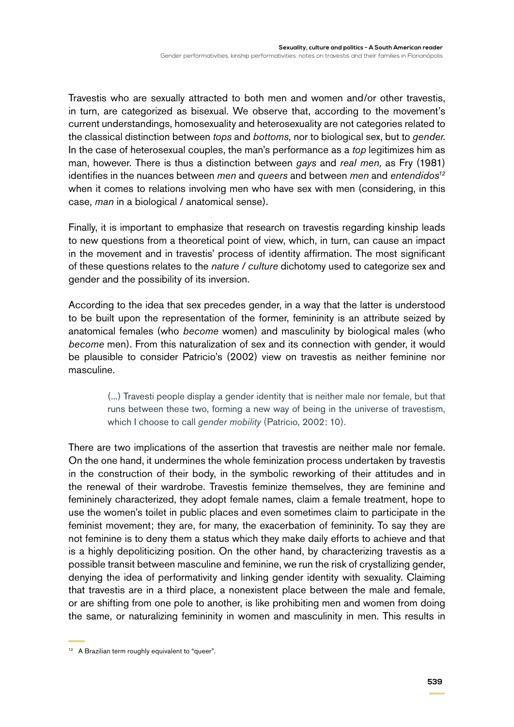Travestis who are sexually attracted to both men and women and/or other travestis, in turn, are categorized as bisexual. We observe that, according to the movement's current understandings, homosexuality and heterosexuality are not categories related to the classical distinction between *tops* and *bottoms,* nor to biological sex, but to *gender*. In the case of heterosexual couples, the man's performance as a *top* legitimizes him as man, however. There is thus a distinction between *gays* and *real men,* as Fry (1981) identifies in the nuances between *men* and *queers* and between *men* and *entendidos12* when it comes to relations involving men who have sex with men (considering, in this case, *man* in a biological / anatomical sense).

Finally, it is important to emphasize that research on travestis regarding kinship leads to new questions from a theoretical point of view, which, in turn, can cause an impact in the movement and in travestis' process of identity affirmation. The most significant of these questions relates to the *nature / culture* dichotomy used to categorize sex and gender and the possibility of its inversion.

According to the idea that sex precedes gender, in a way that the latter is understood to be built upon the representation of the former, femininity is an attribute seized by anatomical females (who *become* women) and masculinity by biological males (who *become* men). From this naturalization of sex and its connection with gender, it would be plausible to consider Patricio's (2002) view on travestis as neither feminine nor masculine.

> (...) Travesti people display a gender identity that is neither male nor female, but that runs between these two, forming a new way of being in the universe of travestism, which I choose to call *gender mobility* (Patrício, 2002: 10).

There are two implications of the assertion that travestis are neither male nor female. On the one hand, it undermines the whole feminization process undertaken by travestis in the construction of their body, in the symbolic reworking of their attitudes and in the renewal of their wardrobe. Travestis feminize themselves, they are feminine and femininely characterized, they adopt female names, claim a female treatment, hope to use the women's toilet in public places and even sometimes claim to participate in the feminist movement; they are, for many, the exacerbation of femininity. To say they are not feminine is to deny them a status which they make daily efforts to achieve and that is a highly depoliticizing position. On the other hand, by characterizing travestis as a possible transit between masculine and feminine, we run the risk of crystallizing gender, denying the idea of performativity and linking gender identity with sexuality. Claiming that travestis are in a third place, a nonexistent place between the male and female, or are shifting from one pole to another, is like prohibiting men and women from doing the same, or naturalizing femininity in women and masculinity in men. This results in

<sup>&</sup>lt;sup>12</sup> A Brazilian term roughly equivalent to "queer".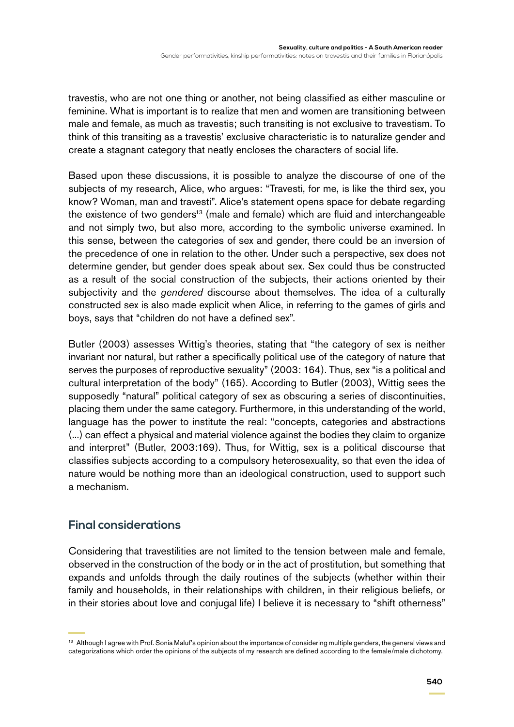travestis, who are not one thing or another, not being classified as either masculine or feminine. What is important is to realize that men and women are transitioning between male and female, as much as travestis; such transiting is not exclusive to travestism. To think of this transiting as a travestis' exclusive characteristic is to naturalize gender and create a stagnant category that neatly encloses the characters of social life.

Based upon these discussions, it is possible to analyze the discourse of one of the subjects of my research, Alice, who argues: "Travesti, for me, is like the third sex, you know? Woman, man and travesti". Alice's statement opens space for debate regarding the existence of two genders<sup>13</sup> (male and female) which are fluid and interchangeable and not simply two, but also more, according to the symbolic universe examined. In this sense, between the categories of sex and gender, there could be an inversion of the precedence of one in relation to the other. Under such a perspective, sex does not determine gender, but gender does speak about sex. Sex could thus be constructed as a result of the social construction of the subjects, their actions oriented by their subjectivity and the *gendered* discourse about themselves. The idea of a culturally constructed sex is also made explicit when Alice, in referring to the games of girls and boys, says that "children do not have a defined sex".

Butler (2003) assesses Wittig's theories, stating that "the category of sex is neither invariant nor natural, but rather a specifically political use of the category of nature that serves the purposes of reproductive sexuality" (2003: 164). Thus, sex "is a political and cultural interpretation of the body" (165). According to Butler (2003), Wittig sees the supposedly "natural" political category of sex as obscuring a series of discontinuities, placing them under the same category. Furthermore, in this understanding of the world, language has the power to institute the real: "concepts, categories and abstractions (...) can effect a physical and material violence against the bodies they claim to organize and interpret" (Butler, 2003:169). Thus, for Wittig, sex is a political discourse that classifies subjects according to a compulsory heterosexuality, so that even the idea of nature would be nothing more than an ideological construction, used to support such a mechanism.

## **Final considerations**

Considering that travestilities are not limited to the tension between male and female, observed in the construction of the body or in the act of prostitution, but something that expands and unfolds through the daily routines of the subjects (whether within their family and households, in their relationships with children, in their religious beliefs, or in their stories about love and conjugal life) I believe it is necessary to "shift otherness"

<sup>&</sup>lt;sup>13</sup> Although I agree with Prof. Sonia Maluf's opinion about the importance of considering multiple genders, the general views and categorizations which order the opinions of the subjects of my research are defined according to the female/male dichotomy.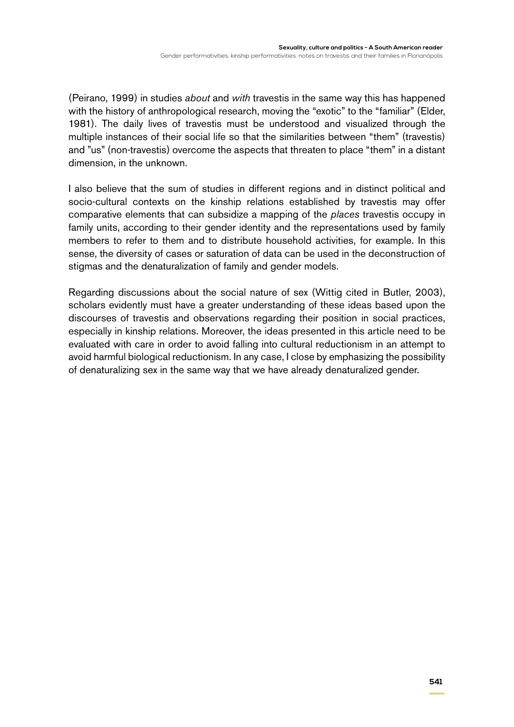(Peirano, 1999) in studies *about* and *with* travestis in the same way this has happened with the history of anthropological research, moving the "exotic" to the "familiar" (Elder, 1981). The daily lives of travestis must be understood and visualized through the multiple instances of their social life so that the similarities between "them" (travestis) and "us" (non-travestis) overcome the aspects that threaten to place "them" in a distant dimension, in the unknown.

I also believe that the sum of studies in different regions and in distinct political and socio-cultural contexts on the kinship relations established by travestis may offer comparative elements that can subsidize a mapping of the *places* travestis occupy in family units, according to their gender identity and the representations used by family members to refer to them and to distribute household activities, for example. In this sense, the diversity of cases or saturation of data can be used in the deconstruction of stigmas and the denaturalization of family and gender models.

Regarding discussions about the social nature of sex (Wittig cited in Butler, 2003), scholars evidently must have a greater understanding of these ideas based upon the discourses of travestis and observations regarding their position in social practices, especially in kinship relations. Moreover, the ideas presented in this article need to be evaluated with care in order to avoid falling into cultural reductionism in an attempt to avoid harmful biological reductionism. In any case, I close by emphasizing the possibility of denaturalizing sex in the same way that we have already denaturalized gender.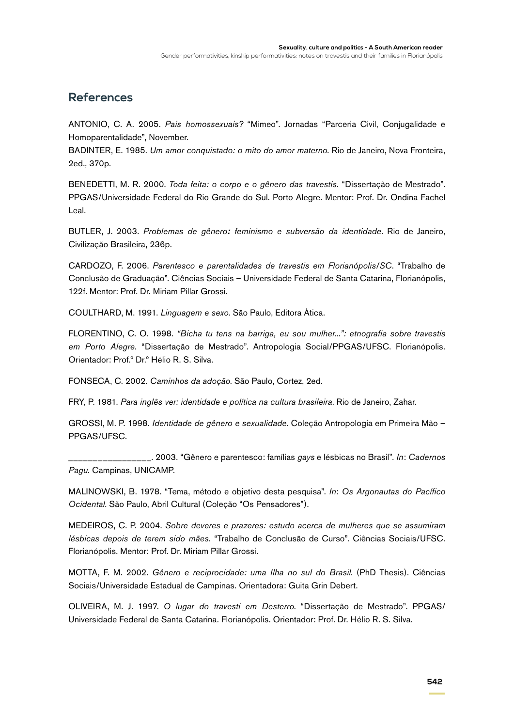## **References**

ANTONIO, C. A. 2005. *Pais homossexuais?* "Mimeo". Jornadas "Parceria Civil, Conjugalidade e Homoparentalidade", November.

BADINTER, E. 1985. *Um amor conquistado: o mito do amor materno*. Rio de Janeiro, Nova Fronteira, 2ed., 370p.

BENEDETTI, M. R. 2000. *Toda feita: o corpo e o gênero das travestis*. "Dissertação de Mestrado". PPGAS/Universidade Federal do Rio Grande do Sul. Porto Alegre. Mentor: Prof. Dr. Ondina Fachel Leal.

BUTLER, J. 2003. *Problemas de gênero: feminismo e subversão da identidade*. Rio de Janeiro, Civilização Brasileira, 236p.

CARDOZO, F. 2006. *Parentesco e parentalidades de travestis em Florianópolis/SC*. "Trabalho de Conclusão de Graduação". Ciências Sociais – Universidade Federal de Santa Catarina, Florianópolis, 122f. Mentor: Prof. Dr. Miriam Pillar Grossi.

COULTHARD, M. 1991. *Linguagem e sexo*. São Paulo, Editora Ática.

FLORENTINO, C. O. 1998. *"Bicha tu tens na barriga, eu sou mulher...": etnografia sobre travestis em Porto Alegre.* "Dissertação de Mestrado". Antropologia Social/PPGAS/UFSC. Florianópolis. Orientador: Prof.º Dr.º Hélio R. S. Silva.

FONSECA, C. 2002. *Caminhos da adoção*. São Paulo, Cortez, 2ed.

FRY, P. 1981. *Para inglês ver: identidade e política na cultura brasileira*. Rio de Janeiro, Zahar.

GROSSI, M. P. 1998. *Identidade de gênero e sexualidade*. Coleção Antropologia em Primeira Mão – PPGAS/UFSC.

\_\_\_\_\_\_\_\_\_\_\_\_\_\_\_\_\_. 2003. "Gênero e parentesco: famílias *gays* e lésbicas no Brasil". *In*: *Cadernos Pagu*. Campinas, UNICAMP.

MALINOWSKI, B. 1978. "Tema, método e objetivo desta pesquisa". *In*: *Os Argonautas do Pacífico Ocidental*. São Paulo, Abril Cultural (Coleção "Os Pensadores").

MEDEIROS, C. P. 2004. *Sobre deveres e prazeres: estudo acerca de mulheres que se assumiram lésbicas depois de terem sido mães.* "Trabalho de Conclusão de Curso". Ciências Sociais/UFSC. Florianópolis. Mentor: Prof. Dr. Miriam Pillar Grossi.

MOTTA, F. M. 2002. *Gênero e reciprocidade: uma Ilha no sul do Brasil*. (PhD Thesis). Ciências Sociais/Universidade Estadual de Campinas. Orientadora: Guita Grin Debert.

OLIVEIRA, M. J. 1997. *O lugar do travesti em Desterro*. "Dissertação de Mestrado". PPGAS/ Universidade Federal de Santa Catarina. Florianópolis. Orientador: Prof. Dr. Hélio R. S. Silva.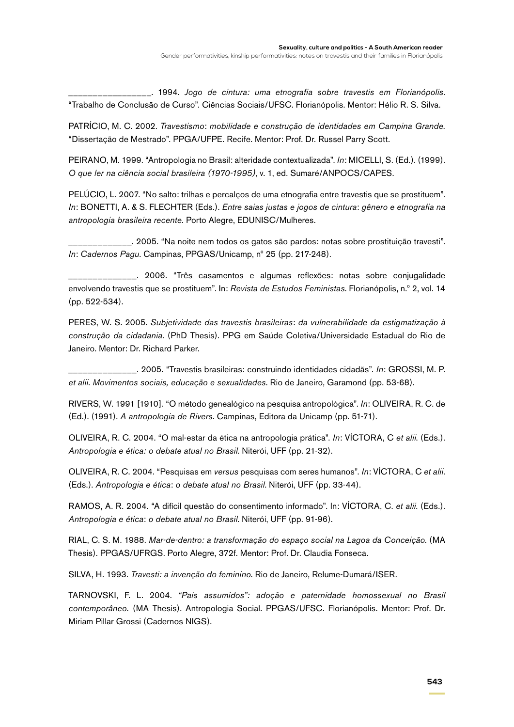\_\_\_\_\_\_\_\_\_\_\_\_\_\_\_\_\_. 1994. *Jogo de cintura: uma etnografia sobre travestis em Florianópolis*. "Trabalho de Conclusão de Curso". Ciências Sociais/UFSC. Florianópolis. Mentor: Hélio R. S. Silva.

PATRÍCIO, M. C. 2002. *Travestismo*: *mobilidade e construção de identidades em Campina Grande.* "Dissertação de Mestrado". PPGA/UFPE. Recife. Mentor: Prof. Dr. Russel Parry Scott.

PEIRANO, M. 1999. "Antropologia no Brasil: alteridade contextualizada". *In*: MICELLI, S. (Ed.). (1999). *O que ler na ciência social brasileira (1970-1995)*, v. 1, ed. Sumaré/ANPOCS/CAPES.

PELÚCIO, L. 2007. "No salto: trilhas e percalços de uma etnografia entre travestis que se prostituem". *In*: BONETTI, A. & S. FLECHTER (Eds.). *Entre saias justas e jogos de cintura*: *gênero e etnografia na antropologia brasileira recente.* Porto Alegre, EDUNISC/Mulheres.

\_\_\_\_\_\_\_\_\_\_\_\_\_. 2005. "Na noite nem todos os gatos são pardos: notas sobre prostituição travesti". *In*: *Cadernos Pagu*. Campinas, PPGAS/Unicamp, nº 25 (pp. 217-248).

\_\_\_\_\_\_\_\_\_\_\_\_\_\_. 2006. "Três casamentos e algumas reflexões: notas sobre conjugalidade envolvendo travestis que se prostituem". In: *Revista de Estudos Feministas*. Florianópolis, n.º 2, vol. 14 (pp. 522-534).

PERES, W. S. 2005. *Subjetividade das travestis brasileiras*: *da vulnerabilidade da estigmatização à construção da cidadania*. (PhD Thesis). PPG em Saúde Coletiva/Universidade Estadual do Rio de Janeiro. Mentor: Dr. Richard Parker.

\_\_\_\_\_\_\_\_\_\_\_\_\_\_. 2005. "Travestis brasileiras: construindo identidades cidadãs". *In*: GROSSI, M. P. *et alii*. *Movimentos sociais, educação e sexualidades*. Rio de Janeiro, Garamond (pp. 53-68).

RIVERS, W. 1991 [1910]. "O método genealógico na pesquisa antropológica". *In*: OLIVEIRA, R. C. de (Ed.). (1991). *A antropologia de Rivers*. Campinas, Editora da Unicamp (pp. 51-71).

OLIVEIRA, R. C. 2004. "O mal-estar da ética na antropologia prática". *In*: VÍCTORA, C *et alii*. (Eds.). *Antropologia e ética: o debate atual no Brasil*. Niterói, UFF (pp. 21-32).

OLIVEIRA, R. C. 2004. "Pesquisas em *versus* pesquisas com seres humanos". *In*: VÍCTORA, C *et alii*. (Eds.). *Antropologia e ética*: *o debate atual no Brasil*. Niterói, UFF (pp. 33-44).

RAMOS, A. R. 2004. "A difícil questão do consentimento informado". In: VÍCTORA, C. *et alii*. (Eds.). *Antropologia e ética*: *o debate atual no Brasil*. Niterói, UFF (pp. 91-96).

RIAL, C. S. M. 1988. *Mar-de-dentro: a transformação do espaço social na Lagoa da Conceição.* (MA Thesis). PPGAS/UFRGS. Porto Alegre, 372f. Mentor: Prof. Dr. Claudia Fonseca.

SILVA, H. 1993. *Travesti: a invenção do feminino*. Rio de Janeiro, Relume-Dumará/ISER.

TARNOVSKI, F. L. 2004. *"Pais assumidos": adoção e paternidade homossexual no Brasil contemporâneo.* (MA Thesis). Antropologia Social. PPGAS/UFSC. Florianópolis. Mentor: Prof. Dr. Miriam Pillar Grossi (Cadernos NIGS).